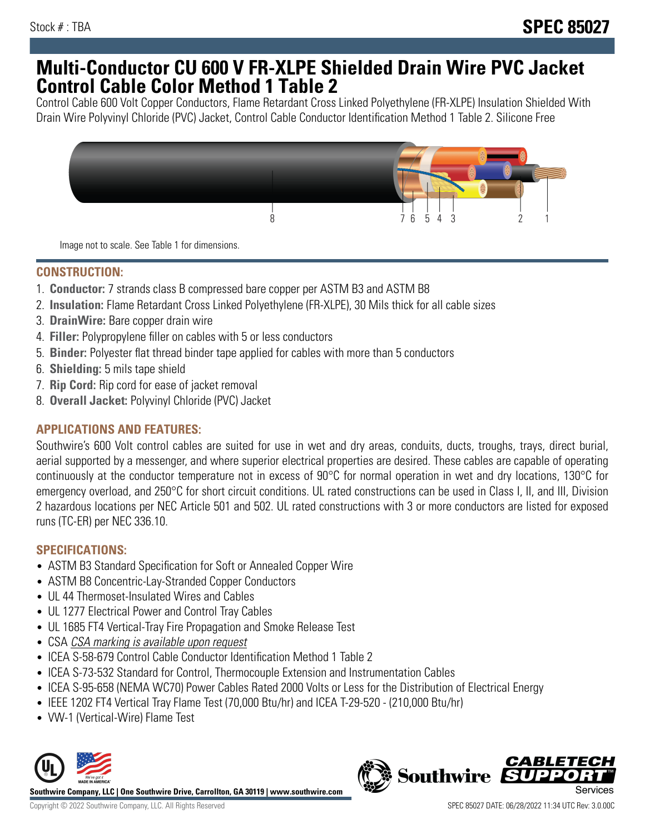# **Multi-Conductor CU 600 V FR-XLPE Shielded Drain Wire PVC Jacket Control Cable Color Method 1 Table 2**

Control Cable 600 Volt Copper Conductors, Flame Retardant Cross Linked Polyethylene (FR-XLPE) Insulation Shielded With Drain Wire Polyvinyl Chloride (PVC) Jacket, Control Cable Conductor Identification Method 1 Table 2. Silicone Free



Image not to scale. See Table 1 for dimensions.

## **CONSTRUCTION:**

- 1. **Conductor:** 7 strands class B compressed bare copper per ASTM B3 and ASTM B8
- 2. **Insulation:** Flame Retardant Cross Linked Polyethylene (FR-XLPE), 30 Mils thick for all cable sizes
- 3. **DrainWire:** Bare copper drain wire
- 4. **Filler:** Polypropylene filler on cables with 5 or less conductors
- 5. **Binder:** Polyester flat thread binder tape applied for cables with more than 5 conductors
- 6. **Shielding:** 5 mils tape shield
- 7. **Rip Cord:** Rip cord for ease of jacket removal
- 8. **Overall Jacket:** Polyvinyl Chloride (PVC) Jacket

## **APPLICATIONS AND FEATURES:**

Southwire's 600 Volt control cables are suited for use in wet and dry areas, conduits, ducts, troughs, trays, direct burial, aerial supported by a messenger, and where superior electrical properties are desired. These cables are capable of operating continuously at the conductor temperature not in excess of 90°C for normal operation in wet and dry locations, 130°C for emergency overload, and 250°C for short circuit conditions. UL rated constructions can be used in Class I, II, and III, Division 2 hazardous locations per NEC Article 501 and 502. UL rated constructions with 3 or more conductors are listed for exposed runs (TC-ER) per NEC 336.10.

## **SPECIFICATIONS:**

- ASTM B3 Standard Specification for Soft or Annealed Copper Wire
- ASTM B8 Concentric-Lay-Stranded Copper Conductors
- UL 44 Thermoset-Insulated Wires and Cables
- UL 1277 Electrical Power and Control Tray Cables
- UL 1685 FT4 Vertical-Tray Fire Propagation and Smoke Release Test
- CSA CSA marking is available upon request
- ICEA S-58-679 Control Cable Conductor Identification Method 1 Table 2
- ICEA S-73-532 Standard for Control, Thermocouple Extension and Instrumentation Cables
- ICEA S-95-658 (NEMA WC70) Power Cables Rated 2000 Volts or Less for the Distribution of Electrical Energy
- IEEE 1202 FT4 Vertical Tray Flame Test (70,000 Btu/hr) and ICEA T-29-520 (210,000 Btu/hr)
- VW-1 (Vertical-Wire) Flame Test



**Southwire** 

**CABLETE**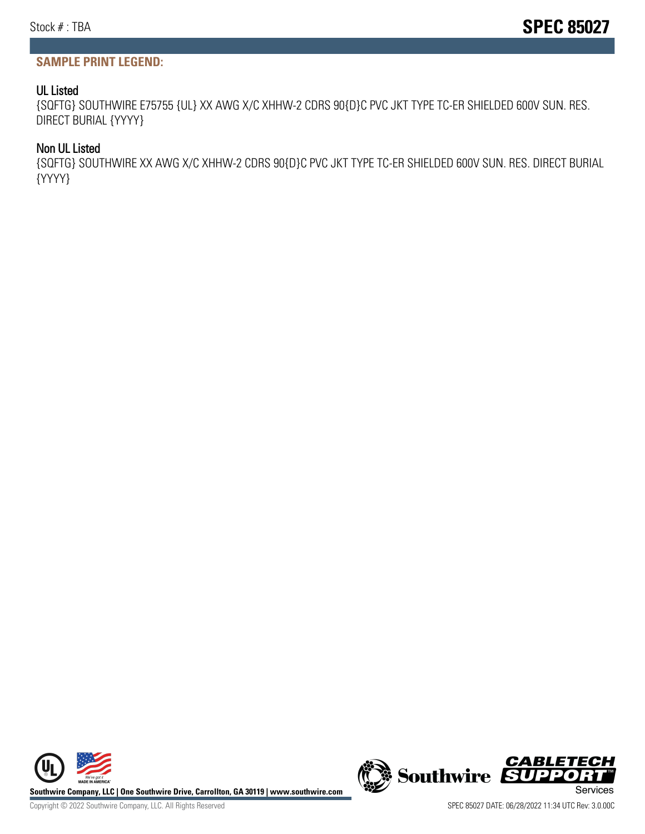# **SAMPLE PRINT LEGEND:**

#### UL Listed

{SQFTG} SOUTHWIRE E75755 {UL} XX AWG X/C XHHW-2 CDRS 90{D}C PVC JKT TYPE TC-ER SHIELDED 600V SUN. RES. DIRECT BURIAL {YYYY}

#### Non UL Listed

{SQFTG} SOUTHWIRE XX AWG X/C XHHW-2 CDRS 90{D}C PVC JKT TYPE TC-ER SHIELDED 600V SUN. RES. DIRECT BURIAL {YYYY}